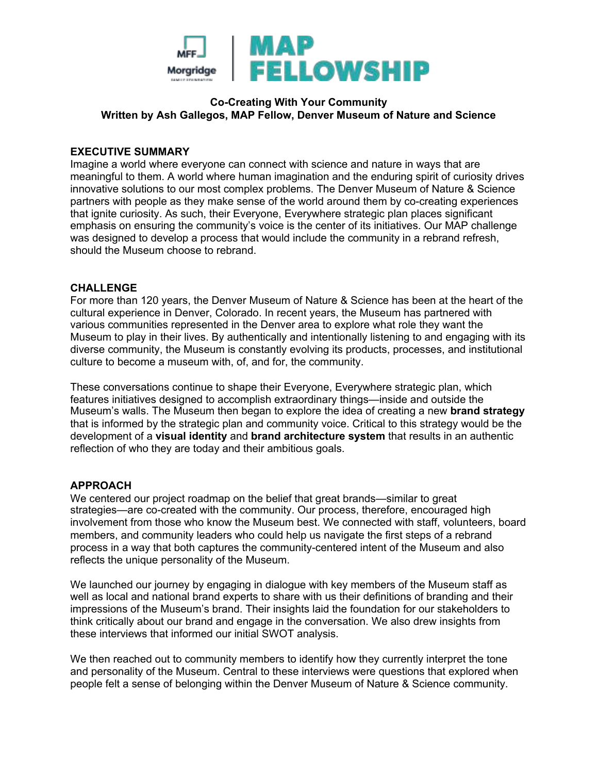

# **Co-Creating With Your Community Written by Ash Gallegos, MAP Fellow, Denver Museum of Nature and Science**

## **EXECUTIVE SUMMARY**

Imagine a world where everyone can connect with science and nature in ways that are meaningful to them. A world where human imagination and the enduring spirit of curiosity drives innovative solutions to our most complex problems. The Denver Museum of Nature & Science partners with people as they make sense of the world around them by co-creating experiences that ignite curiosity. As such, their Everyone, Everywhere strategic plan places significant emphasis on ensuring the community's voice is the center of its initiatives. Our MAP challenge was designed to develop a process that would include the community in a rebrand refresh, should the Museum choose to rebrand.

### **CHALLENGE**

For more than 120 years, the Denver Museum of Nature & Science has been at the heart of the cultural experience in Denver, Colorado. In recent years, the Museum has partnered with various communities represented in the Denver area to explore what role they want the Museum to play in their lives. By authentically and intentionally listening to and engaging with its diverse community, the Museum is constantly evolving its products, processes, and institutional culture to become a museum with, of, and for, the community.

These conversations continue to shape their Everyone, Everywhere strategic plan, which features initiatives designed to accomplish extraordinary things—inside and outside the Museum's walls. The Museum then began to explore the idea of creating a new **brand strategy** that is informed by the strategic plan and community voice. Critical to this strategy would be the development of a **visual identity** and **brand architecture system** that results in an authentic reflection of who they are today and their ambitious goals.

#### **APPROACH**

We centered our project roadmap on the belief that great brands—similar to great strategies—are co-created with the community. Our process, therefore, encouraged high involvement from those who know the Museum best. We connected with staff, volunteers, board members, and community leaders who could help us navigate the first steps of a rebrand process in a way that both captures the community-centered intent of the Museum and also reflects the unique personality of the Museum.

We launched our journey by engaging in dialogue with key members of the Museum staff as well as local and national brand experts to share with us their definitions of branding and their impressions of the Museum's brand. Their insights laid the foundation for our stakeholders to think critically about our brand and engage in the conversation. We also drew insights from these interviews that informed our initial SWOT analysis.

We then reached out to community members to identify how they currently interpret the tone and personality of the Museum. Central to these interviews were questions that explored when people felt a sense of belonging within the Denver Museum of Nature & Science community.